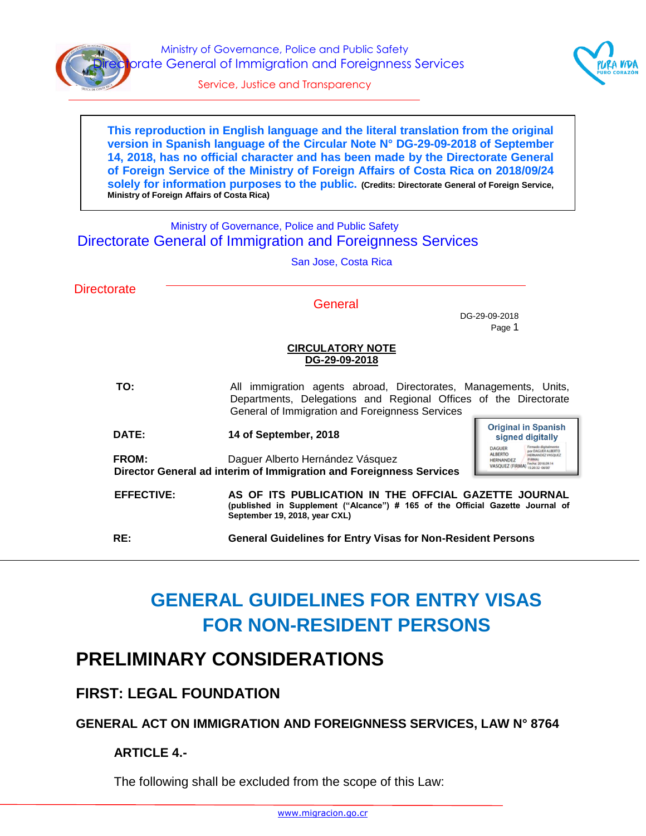

Ministry of Governance, Police and Public Safety orate General of Immigration and Foreignness Services



Service, Justice and Transparency

**This reproduction in English language and the literal translation from the original version in Spanish language of the Circular Note N° DG-29-09-2018 of September 14, 2018, has no official character and has been made by the Directorate General of Foreign Service of the Ministry of Foreign Affairs of Costa Rica on 2018/09/24 solely for information purposes to the public. (Credits: Directorate General of Foreign Service, Ministry of Foreign Affairs of Costa Rica)**

#### Ministry of Governance, Police and Public Safety Directorate General of Immigration and Foreignness Services

|                    | San Jose, Costa Rica                                                                                                                                                                            |  |
|--------------------|-------------------------------------------------------------------------------------------------------------------------------------------------------------------------------------------------|--|
| <b>Directorate</b> | General<br>DG-29-09-2018<br>Page 1                                                                                                                                                              |  |
|                    | <b>CIRCULATORY NOTE</b><br>DG-29-09-2018                                                                                                                                                        |  |
| TO:                | All immigration agents abroad, Directorates, Managements, Units,<br>Departments, Delegations and Regional Offices of the Directorate<br>General of Immigration and Foreignness Services         |  |
| DATE:              | <b>Original in Spanish</b><br>14 of September, 2018<br>signed digitally<br><b>DAGUER</b>                                                                                                        |  |
| FROM:              | <b>ALBERTO</b><br>Daguer Alberto Hernández Vásquez<br><b>HERNANDEZ</b><br>Fecha: 2018.09.14<br>VASQUEZ (FIRMA) 152032-06<br>Director General ad interim of Immigration and Foreignness Services |  |
| <b>EFFECTIVE:</b>  | AS OF ITS PUBLICATION IN THE OFFCIAL GAZETTE JOURNAL<br>(published in Supplement ("Alcance") # 165 of the Official Gazette Journal of<br>September 19, 2018, year CXL)                          |  |
| RE:                | <b>General Guidelines for Entry Visas for Non-Resident Persons</b>                                                                                                                              |  |

# **GENERAL GUIDELINES FOR ENTRY VISAS FOR NON-RESIDENT PERSONS**

## **PRELIMINARY CONSIDERATIONS**

### **FIRST: LEGAL FOUNDATION**

### **GENERAL ACT ON IMMIGRATION AND FOREIGNNESS SERVICES, LAW N° 8764**

### **ARTICLE 4.-**

The following shall be excluded from the scope of this Law: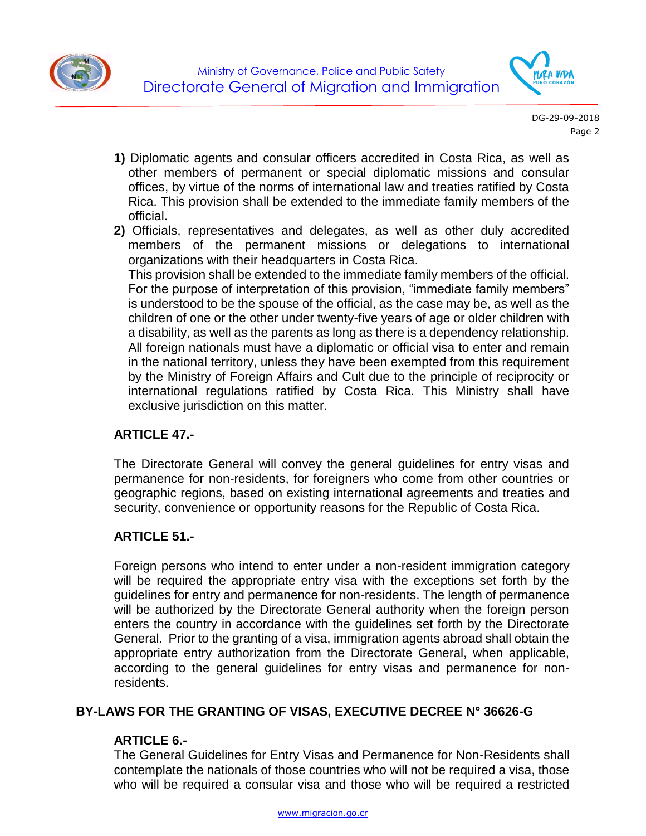



- **1)** Diplomatic agents and consular officers accredited in Costa Rica, as well as other members of permanent or special diplomatic missions and consular offices, by virtue of the norms of international law and treaties ratified by Costa Rica. This provision shall be extended to the immediate family members of the official.
- **2)** Officials, representatives and delegates, as well as other duly accredited members of the permanent missions or delegations to international organizations with their headquarters in Costa Rica.

This provision shall be extended to the immediate family members of the official. For the purpose of interpretation of this provision, "immediate family members" is understood to be the spouse of the official, as the case may be, as well as the children of one or the other under twenty-five years of age or older children with a disability, as well as the parents as long as there is a dependency relationship. All foreign nationals must have a diplomatic or official visa to enter and remain in the national territory, unless they have been exempted from this requirement by the Ministry of Foreign Affairs and Cult due to the principle of reciprocity or international regulations ratified by Costa Rica. This Ministry shall have exclusive jurisdiction on this matter.

#### **ARTICLE 47.-**

The Directorate General will convey the general guidelines for entry visas and permanence for non-residents, for foreigners who come from other countries or geographic regions, based on existing international agreements and treaties and security, convenience or opportunity reasons for the Republic of Costa Rica.

#### **ARTICLE 51.-**

Foreign persons who intend to enter under a non-resident immigration category will be required the appropriate entry visa with the exceptions set forth by the guidelines for entry and permanence for non-residents. The length of permanence will be authorized by the Directorate General authority when the foreign person enters the country in accordance with the guidelines set forth by the Directorate General. Prior to the granting of a visa, immigration agents abroad shall obtain the appropriate entry authorization from the Directorate General, when applicable, according to the general guidelines for entry visas and permanence for nonresidents.

#### **BY-LAWS FOR THE GRANTING OF VISAS, EXECUTIVE DECREE N° 36626-G**

#### **ARTICLE 6.-**

The General Guidelines for Entry Visas and Permanence for Non-Residents shall contemplate the nationals of those countries who will not be required a visa, those who will be required a consular visa and those who will be required a restricted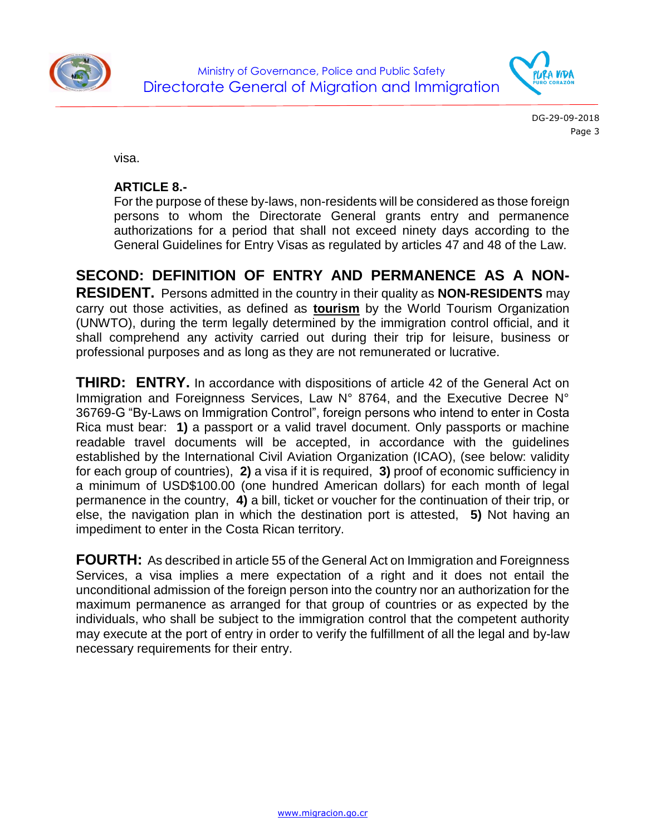



visa.

#### **ARTICLE 8.-**

For the purpose of these by-laws, non-residents will be considered as those foreign persons to whom the Directorate General grants entry and permanence authorizations for a period that shall not exceed ninety days according to the General Guidelines for Entry Visas as regulated by articles 47 and 48 of the Law.

**SECOND: DEFINITION OF ENTRY AND PERMANENCE AS A NON-RESIDENT.** Persons admitted in the country in their quality as **NON-RESIDENTS** may carry out those activities, as defined as **tourism** by the World Tourism Organization (UNWTO), during the term legally determined by the immigration control official, and it shall comprehend any activity carried out during their trip for leisure, business or professional purposes and as long as they are not remunerated or lucrative.

**THIRD: ENTRY.** In accordance with dispositions of article 42 of the General Act on Immigration and Foreignness Services, Law N° 8764, and the Executive Decree N° 36769-G "By-Laws on Immigration Control", foreign persons who intend to enter in Costa Rica must bear: **1)** a passport or a valid travel document. Only passports or machine readable travel documents will be accepted, in accordance with the guidelines established by the International Civil Aviation Organization (ICAO), (see below: validity for each group of countries), **2)** a visa if it is required, **3)** proof of economic sufficiency in a minimum of USD\$100.00 (one hundred American dollars) for each month of legal permanence in the country, **4)** a bill, ticket or voucher for the continuation of their trip, or else, the navigation plan in which the destination port is attested, **5)** Not having an impediment to enter in the Costa Rican territory.

**FOURTH:** As described in article 55 of the General Act on Immigration and Foreignness Services, a visa implies a mere expectation of a right and it does not entail the unconditional admission of the foreign person into the country nor an authorization for the maximum permanence as arranged for that group of countries or as expected by the individuals, who shall be subject to the immigration control that the competent authority may execute at the port of entry in order to verify the fulfillment of all the legal and by-law necessary requirements for their entry.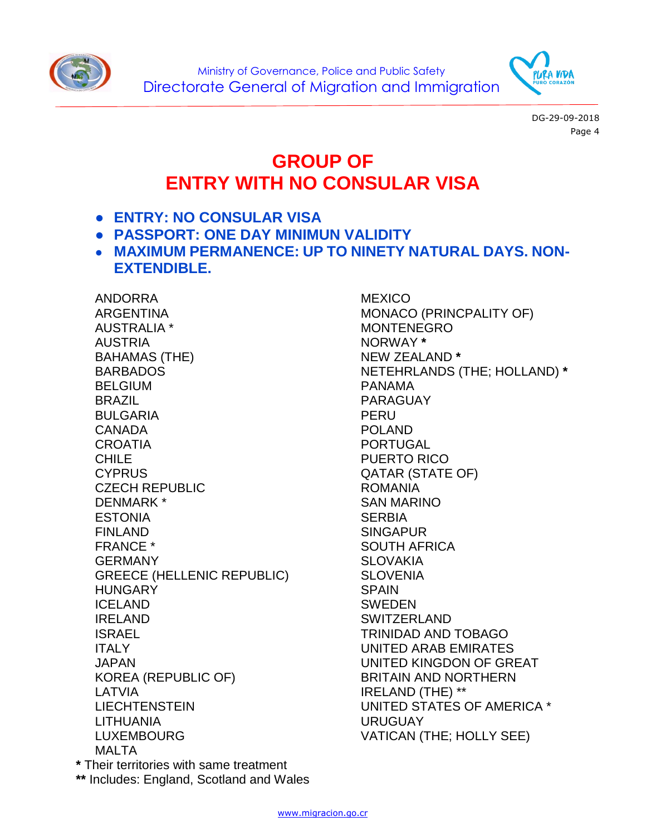



## **GROUP OF ENTRY WITH NO CONSULAR VISA**

- **ENTRY: NO CONSULAR VISA**
- **PASSPORT: ONE DAY MINIMUN VALIDITY**
- **MAXIMUM PERMANENCE: UP TO NINETY NATURAL DAYS. NON-EXTENDIBLE.**

ANDORRA ARGENTINA AUSTRALIA \* AUSTRIA BAHAMAS (THE) BARBADOS BELGIUM BRAZIL BULGARIA CANADA **CROATIA** CHILE **CYPRUS** CZECH REPUBLIC DENMARK \* **ESTONIA** FINLAND FRANCE \* GERMANY GREECE (HELLENIC REPUBLIC) HUNGARY ICELAND IRELAND ISRAEL ITALY JAPAN KOREA (REPUBLIC OF) LATVIA **LIECHTENSTEIN** LITHUANIA LUXEMBOURG MAI TA

**MEXICO** MONACO (PRINCPALITY OF) MONTENEGRO NORWAY **\*** NEW ZEALAND **\*** NETEHRLANDS (THE; HOLLAND) **\*** PANAMA PARAGUAY PERU POLAND PORTUGAL PUERTO RICO QATAR (STATE OF) ROMANIA SAN MARINO **SERBIA** SINGAPUR SOUTH AFRICA **SLOVAKIA SLOVENIA** SPAIN SWEDEN SWITZERLAND TRINIDAD AND TOBAGO UNITED ARAB EMIRATES UNITED KINGDON OF GREAT BRITAIN AND NORTHERN IRELAND (THE) \*\* UNITED STATES OF AMERICA \* URUGUAY VATICAN (THE; HOLLY SEE)

**\*** Their territories with same treatment **\*\*** Includes: England, Scotland and Wales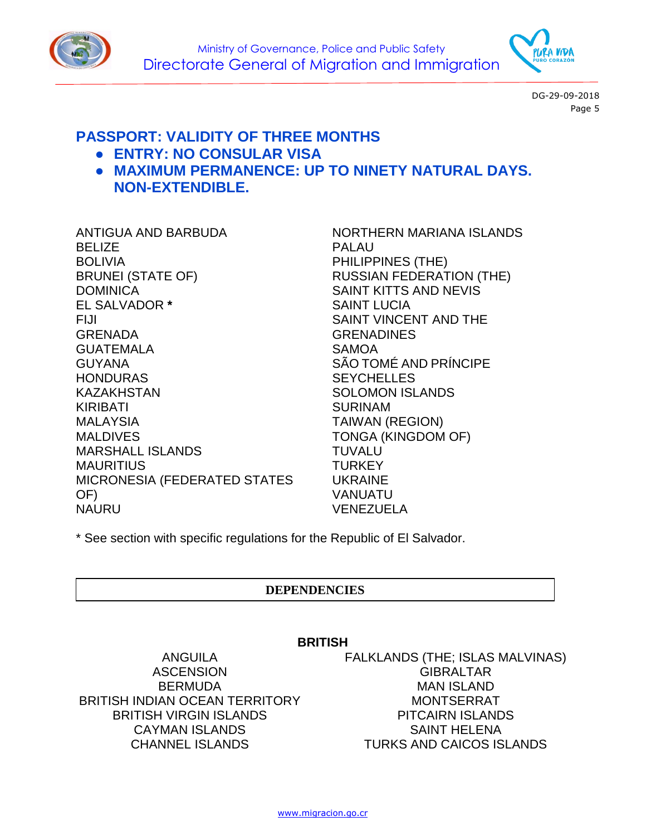



### **PASSPORT: VALIDITY OF THREE MONTHS**

- **ENTRY: NO CONSULAR VISA**
- **MAXIMUM PERMANENCE: UP TO NINETY NATURAL DAYS. NON-EXTENDIBLE.**

ANTIGUA AND BARBUDA **BELIZE** BOLIVIA BRUNEI (STATE OF) **DOMINICA** EL SALVADOR **\*** FIJI GRENADA GUATEMALA GUYANA **HONDURAS** KAZAKHSTAN KIRIBATI MALAYSIA MALDIVES MARSHALL ISLANDS MAURITIUS MICRONESIA (FEDERATED STATES OF) NAURU

NORTHERN MARIANA ISLANDS PALAU PHILIPPINES (THE) RUSSIAN FEDERATION (THE) SAINT KITTS AND NEVIS SAINT LUCIA SAINT VINCENT AND THE **GRENADINES** SAMOA SÃO TOMÉ AND PRÍNCIPE **SEYCHELLES** SOLOMON ISLANDS SURINAM TAIWAN (REGION) TONGA (KINGDOM OF) TUVALU **TURKEY** UKRAINE VANUATU VENEZUELA

\* See section with specific regulations for the Republic of El Salvador.

#### **DEPENDENCIES**

#### **BRITISH**

ANGUILA **ASCENSION** BERMUDA BRITISH INDIAN OCEAN TERRITORY BRITISH VIRGIN ISLANDS CAYMAN ISLANDS CHANNEL ISLANDS

FALKLANDS (THE; ISLAS MALVINAS) **GIBRALTAR** MAN ISLAND MONTSERRAT PITCAIRN ISLANDS SAINT HELENA TURKS AND CAICOS ISLANDS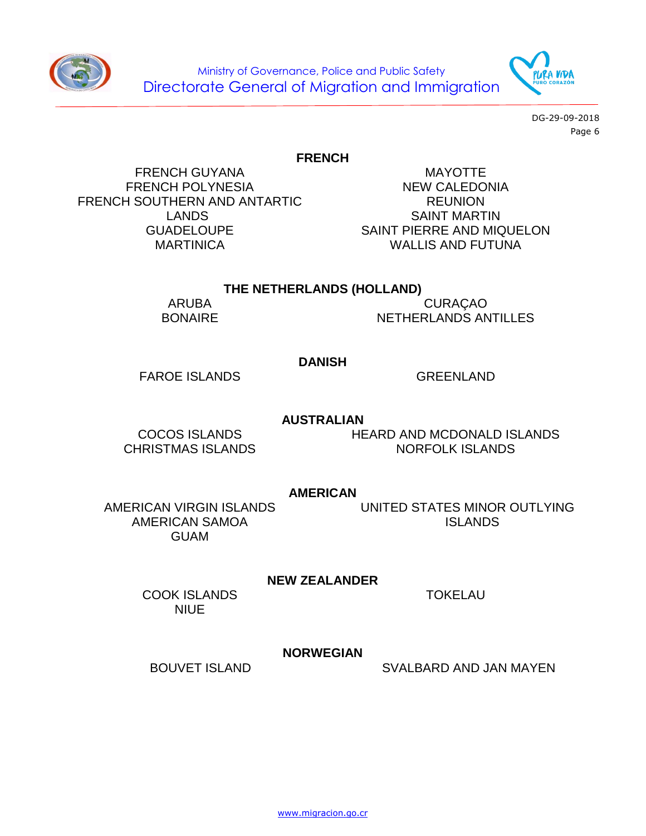Ministry of Governance, Police and Public Safety Directorate General of Migration and Immigration

> DG-29-09-2018 Page 6

#### **FRENCH**

FRENCH GUYANA FRENCH POLYNESIA FRENCH SOUTHERN AND ANTARTIC LANDS GUADELOUPE **MARTINICA** 

MAYOTTE NEW CALEDONIA REUNION SAINT MARTIN SAINT PIERRE AND MIQUELON WALLIS AND FUTUNA

#### **THE NETHERLANDS (HOLLAND)**

ARUBA BONAIRE

CURAÇAO NETHERLANDS ANTILLES

#### **DANISH**

FAROE ISLANDS GREENLAND

**AUSTRALIAN**

COCOS ISLANDS CHRISTMAS ISLANDS HEARD AND MCDONALD ISLANDS NORFOLK ISLANDS

**AMERICAN**

AMERICAN VIRGIN ISLANDS AMERICAN SAMOA GUAM

UNITED STATES MINOR OUTLYING ISLANDS

**NEW ZEALANDER**

COOK ISLANDS NIUE

#### **NORWEGIAN**

BOUVET ISLAND SVALBARD AND JAN MAYEN





TOKELAU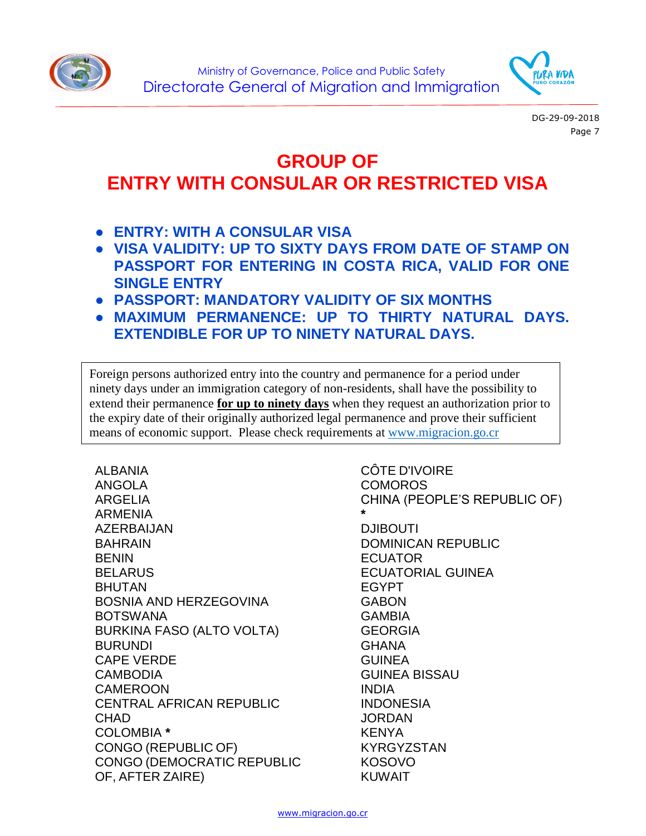



# **GROUP OF ENTRY WITH CONSULAR OR RESTRICTED VISA**

- **ENTRY: WITH A CONSULAR VISA**
- **VISA VALIDITY: UP TO SIXTY DAYS FROM DATE OF STAMP ON PASSPORT FOR ENTERING IN COSTA RICA, VALID FOR ONE SINGLE ENTRY**
- **PASSPORT: MANDATORY VALIDITY OF SIX MONTHS**
- **MAXIMUM PERMANENCE: UP TO THIRTY NATURAL DAYS. EXTENDIBLE FOR UP TO NINETY NATURAL DAYS.**

Foreign persons authorized entry into the country and permanence for a period under ninety days under an immigration category of non-residents, shall have the possibility to extend their permanence **for up to ninety days** when they request an authorization prior to the expiry date of their originally authorized legal permanence and prove their sufficient means of economic support. Please check requirements at [www.migracion.go.cr](http://www.migracion.go.cr/)

ALBANIA ANGOLA ARGELIA ARMENIA AZERBAIJAN BAHRAIN BENIN **BELARUS** BHUTAN BOSNIA AND HERZEGOVINA BOTSWANA BURKINA FASO (ALTO VOLTA) BURUNDI CAPE VERDE CAMBODIA CAMEROON CENTRAL AFRICAN REPUBLIC **CHAD** COLOMBIA **\*** CONGO (REPUBLIC OF) CONGO (DEMOCRATIC REPUBLIC OF, AFTER ZAIRE)

CÔTE D'IVOIRE COMOROS CHINA (PEOPLE'S REPUBLIC OF) **\*** DJIBOUTI DOMINICAN REPUBLIC **ECUATOR** ECUATORIAL GUINEA EGYPT GABON GAMBIA GEORGIA **GHANA GUINEA** GUINEA BISSAU INDIA **INDONESIA JORDAN** KENYA KYRGYZSTAN KOSOVO KUWAIT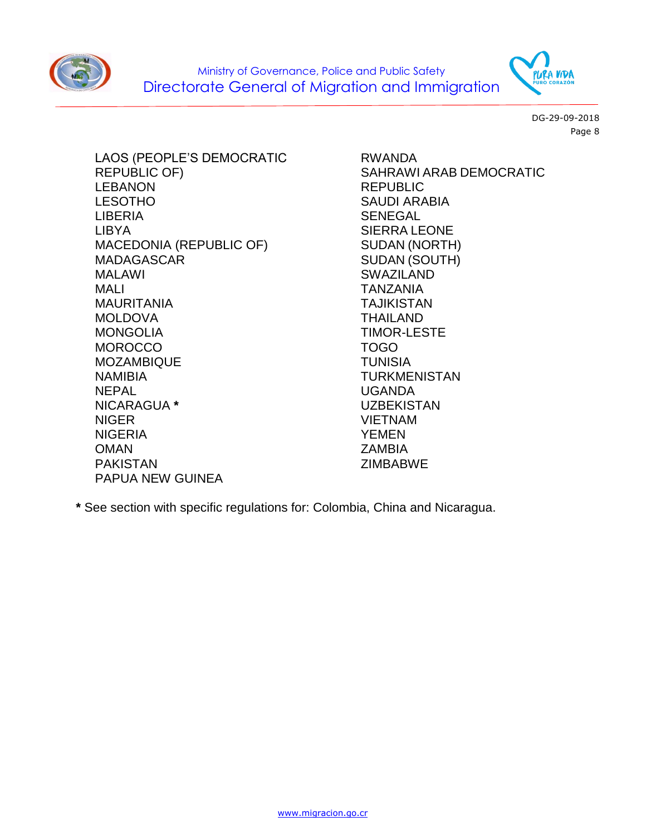



LAOS (PEOPLE'S DEMOCRATIC REPUBLIC OF) LEBANON LESOTHO LIBERIA LIBYA MACEDONIA (REPUBLIC OF) MADAGASCAR MALAWI MALI MAURITANIA MOLDOVA **MONGOLIA MOROCCO** MOZAMBIQUE NAMIBIA **NFPAL** NICARAGUA **\*** NIGER NIGERIA OMAN PAKISTAN PAPUA NEW GUINEA

RWANDA SAHRAWI ARAB DEMOCRATIC REPUBLIC SAUDI ARABIA SENEGAL SIERRA LEONE SUDAN (NORTH) SUDAN (SOUTH) SWAZILAND TANZANIA TAJIKISTAN THAILAND TIMOR-LESTE TOGO TUNISIA TURKMENISTAN UGANDA UZBEKISTAN VIETNAM YEMEN **ZAMBIA** ZIMBABWE

**\*** See section with specific regulations for: Colombia, China and Nicaragua.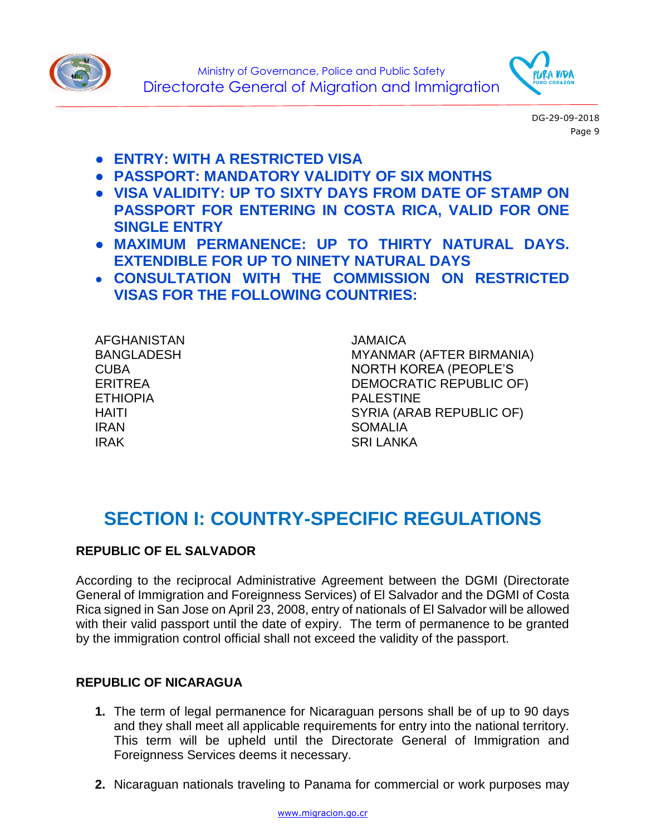



- **ENTRY: WITH A RESTRICTED VISA**
- **PASSPORT: MANDATORY VALIDITY OF SIX MONTHS**
- **VISA VALIDITY: UP TO SIXTY DAYS FROM DATE OF STAMP ON PASSPORT FOR ENTERING IN COSTA RICA, VALID FOR ONE SINGLE ENTRY**
- **MAXIMUM PERMANENCE: UP TO THIRTY NATURAL DAYS. EXTENDIBLE FOR UP TO NINETY NATURAL DAYS**
- **CONSULTATION WITH THE COMMISSION ON RESTRICTED VISAS FOR THE FOLLOWING COUNTRIES:**

AFGHANISTAN BANGLADESH CUBA ERITREA ETHIOPIA HAITI IRAN IRAK

JAMAICA MYANMAR (AFTER BIRMANIA) NORTH KOREA (PEOPLE'S DEMOCRATIC REPUBLIC OF) PALESTINE SYRIA (ARAB REPUBLIC OF) **SOMALIA** SRI LANKA

## **SECTION I: COUNTRY-SPECIFIC REGULATIONS**

#### **REPUBLIC OF EL SALVADOR**

According to the reciprocal Administrative Agreement between the DGMI (Directorate General of Immigration and Foreignness Services) of El Salvador and the DGMI of Costa Rica signed in San Jose on April 23, 2008, entry of nationals of El Salvador will be allowed with their valid passport until the date of expiry. The term of permanence to be granted by the immigration control official shall not exceed the validity of the passport.

#### **REPUBLIC OF NICARAGUA**

- **1.** The term of legal permanence for Nicaraguan persons shall be of up to 90 days and they shall meet all applicable requirements for entry into the national territory. This term will be upheld until the Directorate General of Immigration and Foreignness Services deems it necessary.
- **2.** Nicaraguan nationals traveling to Panama for commercial or work purposes may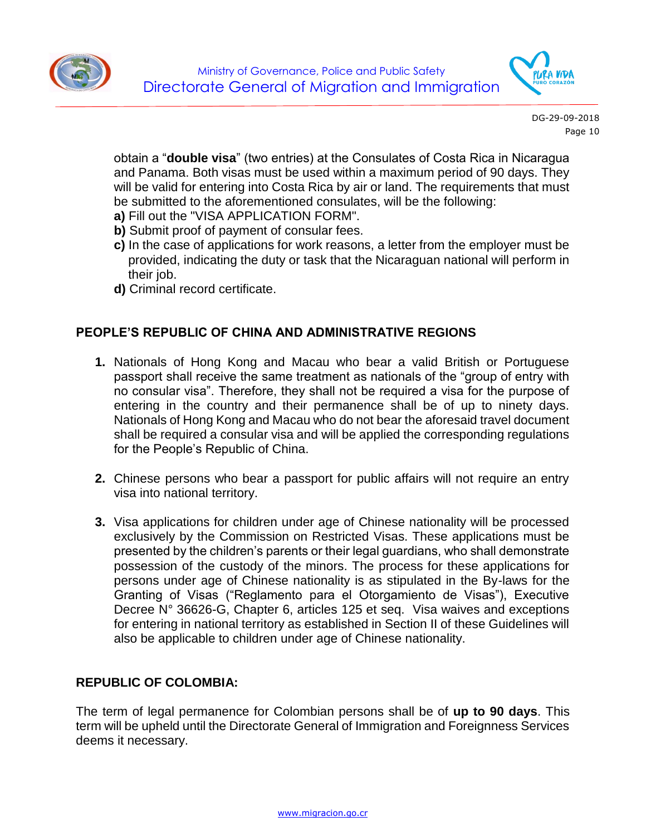



obtain a "**double visa**" (two entries) at the Consulates of Costa Rica in Nicaragua and Panama. Both visas must be used within a maximum period of 90 days. They will be valid for entering into Costa Rica by air or land. The requirements that must be submitted to the aforementioned consulates, will be the following:

- **a)** Fill out the "VISA APPLICATION FORM".
- **b)** Submit proof of payment of consular fees.
- **c)** In the case of applications for work reasons, a letter from the employer must be provided, indicating the duty or task that the Nicaraguan national will perform in their job.
- **d)** Criminal record certificate.

#### **PEOPLE'S REPUBLIC OF CHINA AND ADMINISTRATIVE REGIONS**

- **1.** Nationals of Hong Kong and Macau who bear a valid British or Portuguese passport shall receive the same treatment as nationals of the "group of entry with no consular visa". Therefore, they shall not be required a visa for the purpose of entering in the country and their permanence shall be of up to ninety days. Nationals of Hong Kong and Macau who do not bear the aforesaid travel document shall be required a consular visa and will be applied the corresponding regulations for the People's Republic of China.
- **2.** Chinese persons who bear a passport for public affairs will not require an entry visa into national territory.
- **3.** Visa applications for children under age of Chinese nationality will be processed exclusively by the Commission on Restricted Visas. These applications must be presented by the children's parents or their legal guardians, who shall demonstrate possession of the custody of the minors. The process for these applications for persons under age of Chinese nationality is as stipulated in the By-laws for the Granting of Visas ("Reglamento para el Otorgamiento de Visas"), Executive Decree N° 36626-G, Chapter 6, articles 125 et seq. Visa waives and exceptions for entering in national territory as established in Section II of these Guidelines will also be applicable to children under age of Chinese nationality.

#### **REPUBLIC OF COLOMBIA:**

The term of legal permanence for Colombian persons shall be of **up to 90 days**. This term will be upheld until the Directorate General of Immigration and Foreignness Services deems it necessary.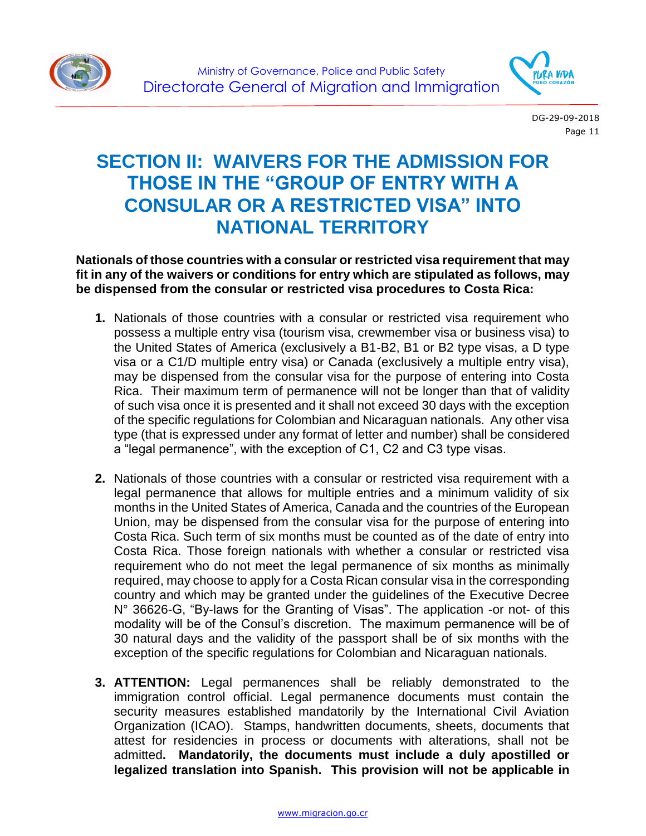



## **SECTION II: WAIVERS FOR THE ADMISSION FOR THOSE IN THE "GROUP OF ENTRY WITH A CONSULAR OR A RESTRICTED VISA" INTO NATIONAL TERRITORY**

**Nationals of those countries with a consular or restricted visa requirement that may fit in any of the waivers or conditions for entry which are stipulated as follows, may be dispensed from the consular or restricted visa procedures to Costa Rica:**

- **1.** Nationals of those countries with a consular or restricted visa requirement who possess a multiple entry visa (tourism visa, crewmember visa or business visa) to the United States of America (exclusively a B1-B2, B1 or B2 type visas, a D type visa or a C1/D multiple entry visa) or Canada (exclusively a multiple entry visa), may be dispensed from the consular visa for the purpose of entering into Costa Rica. Their maximum term of permanence will not be longer than that of validity of such visa once it is presented and it shall not exceed 30 days with the exception of the specific regulations for Colombian and Nicaraguan nationals. Any other visa type (that is expressed under any format of letter and number) shall be considered a "legal permanence", with the exception of C1, C2 and C3 type visas.
- **2.** Nationals of those countries with a consular or restricted visa requirement with a legal permanence that allows for multiple entries and a minimum validity of six months in the United States of America, Canada and the countries of the European Union, may be dispensed from the consular visa for the purpose of entering into Costa Rica. Such term of six months must be counted as of the date of entry into Costa Rica. Those foreign nationals with whether a consular or restricted visa requirement who do not meet the legal permanence of six months as minimally required, may choose to apply for a Costa Rican consular visa in the corresponding country and which may be granted under the guidelines of the Executive Decree N° 36626-G, "By-laws for the Granting of Visas". The application -or not- of this modality will be of the Consul's discretion. The maximum permanence will be of 30 natural days and the validity of the passport shall be of six months with the exception of the specific regulations for Colombian and Nicaraguan nationals.
- **3. ATTENTION:** Legal permanences shall be reliably demonstrated to the immigration control official. Legal permanence documents must contain the security measures established mandatorily by the International Civil Aviation Organization (ICAO). Stamps, handwritten documents, sheets, documents that attest for residencies in process or documents with alterations, shall not be admitted**. Mandatorily, the documents must include a duly apostilled or legalized translation into Spanish. This provision will not be applicable in**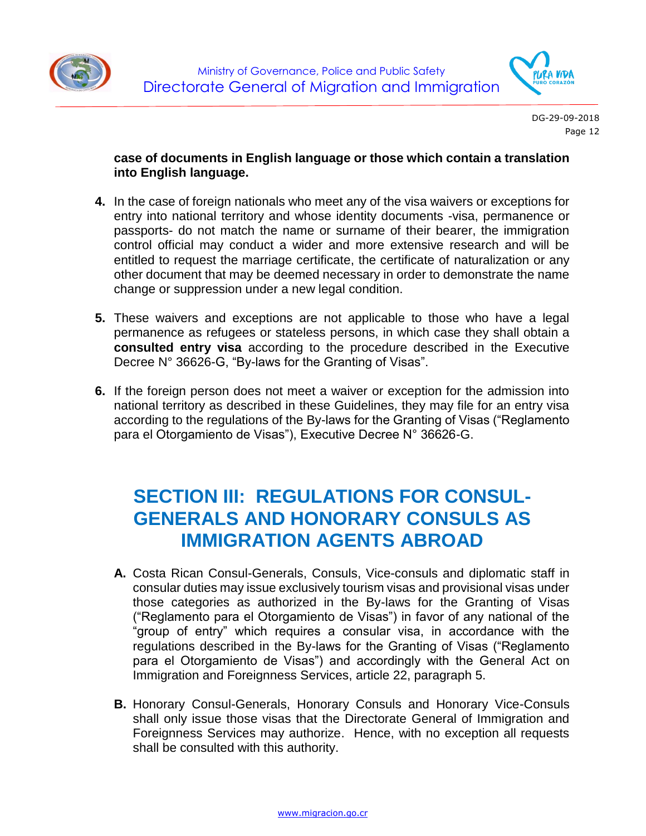



#### **case of documents in English language or those which contain a translation into English language.**

- **4.** In the case of foreign nationals who meet any of the visa waivers or exceptions for entry into national territory and whose identity documents -visa, permanence or passports- do not match the name or surname of their bearer, the immigration control official may conduct a wider and more extensive research and will be entitled to request the marriage certificate, the certificate of naturalization or any other document that may be deemed necessary in order to demonstrate the name change or suppression under a new legal condition.
- **5.** These waivers and exceptions are not applicable to those who have a legal permanence as refugees or stateless persons, in which case they shall obtain a **consulted entry visa** according to the procedure described in the Executive Decree N° 36626-G, "By-laws for the Granting of Visas".
- **6.** If the foreign person does not meet a waiver or exception for the admission into national territory as described in these Guidelines, they may file for an entry visa according to the regulations of the By-laws for the Granting of Visas ("Reglamento para el Otorgamiento de Visas"), Executive Decree N° 36626-G.

### **SECTION III: REGULATIONS FOR CONSUL-GENERALS AND HONORARY CONSULS AS IMMIGRATION AGENTS ABROAD**

- **A.** Costa Rican Consul-Generals, Consuls, Vice-consuls and diplomatic staff in consular duties may issue exclusively tourism visas and provisional visas under those categories as authorized in the By-laws for the Granting of Visas ("Reglamento para el Otorgamiento de Visas") in favor of any national of the "group of entry" which requires a consular visa, in accordance with the regulations described in the By-laws for the Granting of Visas ("Reglamento para el Otorgamiento de Visas") and accordingly with the General Act on Immigration and Foreignness Services, article 22, paragraph 5.
- **B.** Honorary Consul-Generals, Honorary Consuls and Honorary Vice-Consuls shall only issue those visas that the Directorate General of Immigration and Foreignness Services may authorize. Hence, with no exception all requests shall be consulted with this authority.